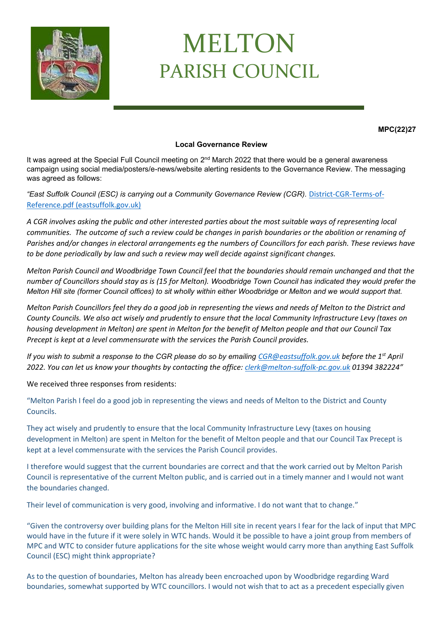

## MELTON PARISH COUNCIL

**MPC(22)27**

## **Local Governance Review**

It was agreed at the Special Full Council meeting on 2<sup>nd</sup> March 2022 that there would be a general awareness campaign using social media/posters/e-news/website alerting residents to the Governance Review. The messaging was agreed as follows:

## *"East Suffolk Council (ESC) is carrying out a Community Governance Review (CGR).* [District-CGR-Terms-of-](https://www.eastsuffolk.gov.uk/assets/Elections/Community-Governance-Review/District-CGR-Terms-of-Reference.pdf)[Reference.pdf \(eastsuffolk.gov.uk\)](https://www.eastsuffolk.gov.uk/assets/Elections/Community-Governance-Review/District-CGR-Terms-of-Reference.pdf)

*A CGR involves asking the public and other interested parties about the most suitable ways of representing local communities. The outcome of such a review could be changes in parish boundaries or the abolition or renaming of Parishes and/or changes in electoral arrangements eg the numbers of Councillors for each parish. These reviews have to be done periodically by law and such a review may well decide against significant changes.*

*Melton Parish Council and Woodbridge Town Council feel that the boundaries should remain unchanged and that the number of Councillors should stay as is (15 for Melton). Woodbridge Town Council has indicated they would prefer the Melton Hill site (former Council offices) to sit wholly within either Woodbridge or Melton and we would support that.*

*Melton Parish Councillors feel they do a good job in representing the views and needs of Melton to the District and County Councils. We also act wisely and prudently to ensure that the local Community Infrastructure Levy (taxes on housing development in Melton) are spent in Melton for the benefit of Melton people and that our Council Tax Precept is kept at a level commensurate with the services the Parish Council provides.*

*If you wish to submit a response to the CGR please do so by emailing [CGR@eastsuffolk.gov.uk](mailto:CGR@eastsuffolk.gov.uk) before the 1st April 2022. You can let us know your thoughts by contacting the office: [clerk@melton-suffolk-pc.gov.uk](mailto:clerk@melton-suffolk-pc.gov.uk) 01394 382224"*

We received three responses from residents:

"Melton Parish I feel do a good job in representing the views and needs of Melton to the District and County Councils.

They act wisely and prudently to ensure that the local Community Infrastructure Levy (taxes on housing development in Melton) are spent in Melton for the benefit of Melton people and that our Council Tax Precept is kept at a level commensurate with the services the Parish Council provides.

I therefore would suggest that the current boundaries are correct and that the work carried out by Melton Parish Council is representative of the current Melton public, and is carried out in a timely manner and I would not want the boundaries changed.

Their level of communication is very good, involving and informative. I do not want that to change."

"Given the controversy over building plans for the Melton Hill site in recent years I fear for the lack of input that MPC would have in the future if it were solely in WTC hands. Would it be possible to have a joint group from members of MPC and WTC to consider future applications for the site whose weight would carry more than anything East Suffolk Council (ESC) might think appropriate?

As to the question of boundaries, Melton has already been encroached upon by Woodbridge regarding Ward boundaries, somewhat supported by WTC councillors. I would not wish that to act as a precedent especially given